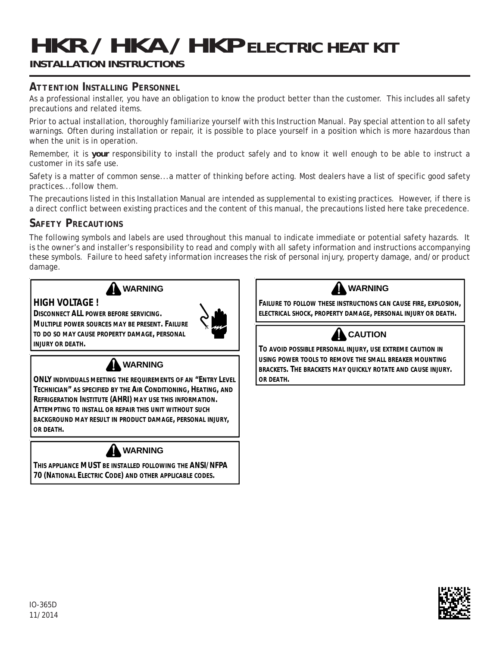# **HKR / HKA / HKP** ELECTRIC HEAT KIT

# **INSTALLATION INSTRUCTIONS**

# *ATTENTION INSTALLING PERSONNEL*

As a professional installer, you have an obligation to know the product better than the customer. This includes all safety precautions and related items.

Prior to actual installation, thoroughly familiarize yourself with this Instruction Manual. Pay special attention to all safety warnings. Often during installation or repair, it is possible to place yourself in a position which is more hazardous than when the unit is in operation.

Remember, it is **your** responsibility to install the product safely and to know it well enough to be able to instruct a customer in its safe use.

Safety is a matter of common sense...a matter of thinking before acting. Most dealers have a list of specific good safety practices...follow them.

The precautions listed in this Installation Manual are intended as supplemental to existing practices. However, if there is a direct conflict between existing practices and the content of this manual, the precautions listed here take precedence.

# *SAFETY PRECAUTIONS*

The following symbols and labels are used throughout this manual to indicate immediate or potential safety hazards. It is the owner's and installer's responsibility to read and comply with all safety information and instructions accompanying these symbols. Failure to heed safety information increases the risk of personal injury, property damage, and/or product damage.



## **A** WARNING

## **HIGH VOLTAGE !**

**DISCONNECT ALL POWER BEFORE SERVICING.** 

**MULTIPLE POWER SOURCES MAY BE PRESENT. FAILURE TO DO SO MAY CAUSE PROPERTY DAMAGE, PERSONAL INJURY OR DEATH.**





**ONLY INDIVIDUALS MEETING THE REQUIREMENTS OF AN "ENTRY LEVEL TECHNICIAN" AS SPECIFIED BY THE AIR CONDITIONING, HEATING, AND REFRIGERATION INSTITUTE (AHRI) MAY USE THIS INFORMATION. ATTEMPTING TO INSTALL OR REPAIR THIS UNIT WITHOUT SUCH BACKGROUND MAY RESULT IN PRODUCT DAMAGE, PERSONAL INJURY, OR DEATH.**



**THIS APPLIANCE MUST BE INSTALLED FOLLOWING THE ANSI/NFPA 70 (NATIONAL ELECTRIC CODE) AND OTHER APPLICABLE CODES.**

**WARNING**

**FAILURE TO FOLLOW THESE INSTRUCTIONS CAN CAUSE FIRE, EXPLOSION, ELECTRICAL SHOCK, PROPERTY DAMAGE, PERSONAL INJURY OR DEATH.**



**TO AVOID POSSIBLE PERSONAL INJURY, USE EXTREME CAUTION IN USING POWER TOOLS TO REMOVE THE SMALL BREAKER MOUNTING BRACKETS. THE BRACKETS MAY QUICKLY ROTATE AND CAUSE INJURY. OR DEATH.**

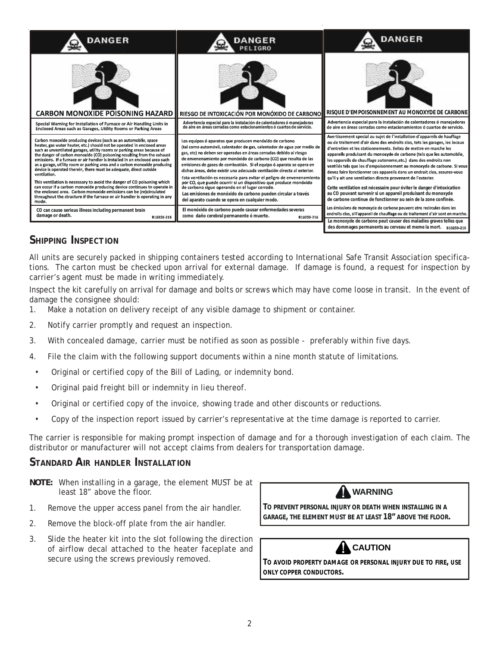

# *SHIPPING INSPECTION*

All units are securely packed in shipping containers tested according to International Safe Transit Association specifications. The carton must be checked upon arrival for external damage. If damage is found, a request for inspection by carrier's agent must be made in writing immediately.

Inspect the kit carefully on arrival for damage and bolts or screws which may have come loose in transit. In the event of damage the consignee should:

- 1. Make a notation on delivery receipt of any visible damage to shipment or container.
- 2. Notify carrier promptly and request an inspection.
- 3. With concealed damage, carrier must be notified as soon as possible preferably within five days.
- 4. File the claim with the following support documents within a nine month statute of limitations.
- Original or certified copy of the Bill of Lading, or indemnity bond.
- Original paid freight bill or indemnity in lieu thereof.
- Original or certified copy of the invoice, showing trade and other discounts or reductions.
- Copy of the inspection report issued by carrier's representative at the time damage is reported to carrier.

The carrier is responsible for making prompt inspection of damage and for a thorough investigation of each claim. The distributor or manufacturer will not accept claims from dealers for transportation damage.

## *STANDARD AIR HANDLER INSTALLATION*

- **NOTE:** When installing in a garage, the element MUST be at least 18" above the floor.
- 1. Remove the upper access panel from the air handler.
- 2. Remove the block-off plate from the air handler.
- 3. Slide the heater kit into the slot following the direction of airflow decal attached to the heater faceplate and secure using the screws previously removed. **TO AVOID PROPERTY DAMAGE OR PERSONAL INJURY DUE TO FIRE, USE**



**TO PREVENT PERSONAL INJURY OR DEATH WHEN INSTALLING IN A GARAGE, THE ELEMENT MUST BE AT LEAST 18" ABOVE THE FLOOR.**



**ONLY COPPER CONDUCTORS.**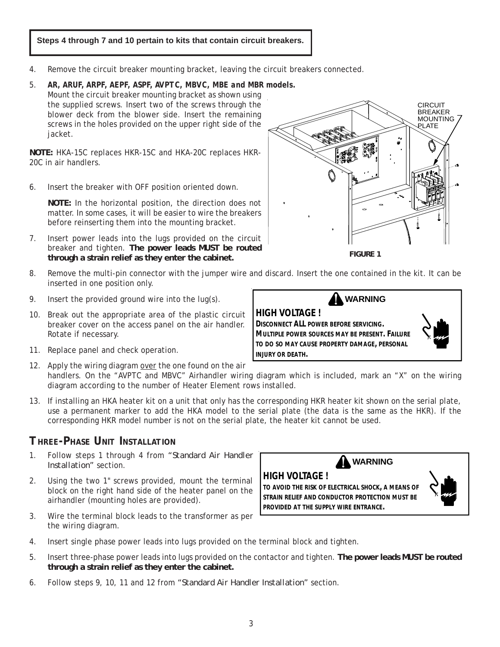## **Steps 4 through 7 and 10 pertain to kits that contain circuit breakers.**

- 4. Remove the circuit breaker mounting bracket, leaving the circuit breakers connected.
- 5. *AR, ARUF, ARPF, AEPF, ASPF, AVPTC, MBVC, MBE and MBR models.* Mount the circuit breaker mounting bracket as shown using the supplied screws. Insert two of the screws through the blower deck from the blower side. Insert the remaining

screws in the holes provided on the upper right side of the

**NOTE:** HKA-15C replaces HKR-15C and HKA-20C replaces HKR-20C in air handlers.

6. Insert the breaker with OFF position oriented down.

jacket.

**NOTE:** In the horizontal position, the direction does not matter. In some cases, it will be easier to wire the breakers before reinserting them into the mounting bracket.

- 7. Insert power leads into the lugs provided on the circuit breaker and tighten. **The power leads MUST be routed through a strain relief as they enter the cabinet.**
- 8. Remove the multi-pin connector with the jumper wire and discard. Insert the one contained in the kit. It can be inserted in one position only.
- 9. Insert the provided ground wire into the lug(s).
- 10. Break out the appropriate area of the plastic circuit breaker cover on the access panel on the air handler. Rotate if necessary.
- 11. Replace panel and check operation.
- 12. Apply the wiring diagram over the one found on the air handlers. On the "AVPTC and MBVC" Airhandler wiring diagram which is included, mark an "X" on the wiring diagram according to the number of Heater Element rows installed.
- 13. If installing an HKA heater kit on a unit that only has the corresponding HKR heater kit shown on the serial plate, use a permanent marker to add the HKA model to the serial plate (the data is the same as the HKR). If the corresponding HKR model number is not on the serial plate, the heater kit cannot be used.

# *THREE-PHASE UNIT INSTALLATION*

- 1. Follow steps 1 through 4 from *"Standard Air Handler Installation"* section.
- 2. Using the two 1" screws provided, mount the terminal block on the right hand side of the heater panel on the airhandler (mounting holes are provided).
- 3. Wire the terminal block leads to the transformer as per the wiring diagram.
- 4. Insert single phase power leads into lugs provided on the terminal block and tighten.
- 5. Insert three-phase power leads into lugs provided on the contactor and tighten. **The power leads MUST be routed through a strain relief as they enter the cabinet.**
- 6. Follow steps 9, 10, 11 and 12 from *"Standard Air Handler Installation"* section.





**DISCONNECT ALL POWER BEFORE SERVICING. MULTIPLE POWER SOURCES MAY BE PRESENT. FAILURE TO DO SO MAY CAUSE PROPERTY DAMAGE, PERSONAL INJURY OR DEATH.**









**PROVIDED AT THE SUPPLY WIRE ENTRANCE.**

**STRAIN RELIEF AND CONDUCTOR PROTECTION MUST BE**

**HIGH VOLTAGE !**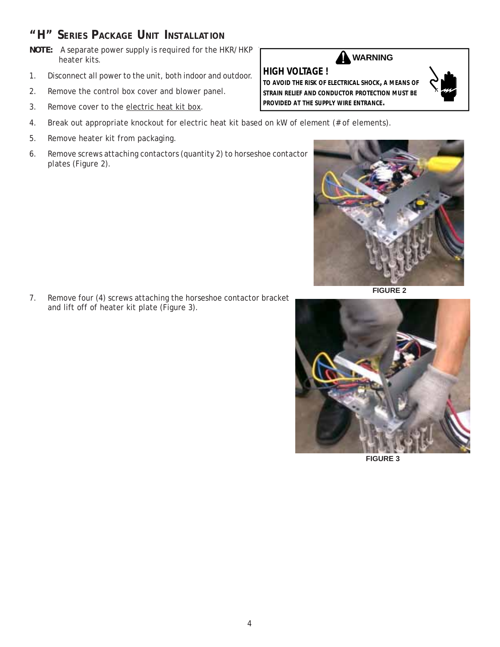# *"H" SERIES PACKAGE UNIT INSTALLATION*

- **NOTE:** A separate power supply is required for the HKR/HKP heater kits.
- 1. Disconnect all power to the unit, both indoor and outdoor.
- 2. Remove the control box cover and blower panel.
- 3. Remove cover to the electric heat kit box.
- 4. Break out appropriate knockout for electric heat kit based on kW of element (# of elements).
- 5. Remove heater kit from packaging.
- 6. Remove screws attaching contactors (quantity 2) to horseshoe contactor plates (Figure 2).

7. Remove four (4) screws attaching the horseshoe contactor bracket and lift off of heater kit plate (Figure 3).

## **HIGH VOLTAGE ! A** WARNING

**TO AVOID THE RISK OF ELECTRICAL SHOCK, A MEANS OF STRAIN RELIEF AND CONDUCTOR PROTECTION MUST BE PROVIDED AT THE SUPPLY WIRE ENTRANCE.**



**FIGURE 2**



**FIGURE 3**

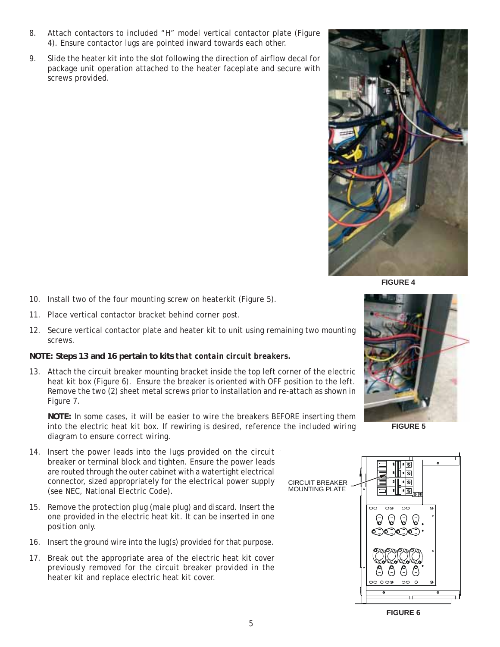- 8. Attach contactors to included "H" model vertical contactor plate (Figure 4). Ensure contactor lugs are pointed inward towards each other.
- 9. Slide the heater kit into the slot following the direction of airflow decal for package unit operation attached to the heater faceplate and secure with screws provided.



**FIGURE 4**

- 10. Install two of the four mounting screw on heaterkit (Figure 5).
- 11. Place vertical contactor bracket behind corner post.
- 12. Secure vertical contactor plate and heater kit to unit using remaining two mounting screws.

#### **NOTE: Steps 13 and 16 pertain to kits** *that contain circuit breakers.*

13. Attach the circuit breaker mounting bracket inside the top left corner of the electric heat kit box (Figure 6). Ensure the breaker is oriented with OFF position to the left. Remove the two (2) sheet metal screws prior to installation and re-attach as shown in Figure 7.

**NOTE:** In some cases, it will be easier to wire the breakers BEFORE inserting them into the electric heat kit box. If rewiring is desired, reference the included wiring diagram to ensure correct wiring.

- 14. Insert the power leads into the lugs provided on the circuit breaker or terminal block and tighten. Ensure the power leads are routed through the outer cabinet with a watertight electrical connector, sized appropriately for the electrical power supply (see NEC, National Electric Code).
- 15. Remove the protection plug (male plug) and discard. Insert the one provided in the electric heat kit. It can be inserted in one position only.
- 16. Insert the ground wire into the lug(s) provided for that purpose.
- 17. Break out the appropriate area of the electric heat kit cover previously removed for the circuit breaker provided in the heater kit and replace electric heat kit cover.



**FIGURE 5**



**FIGURE 6**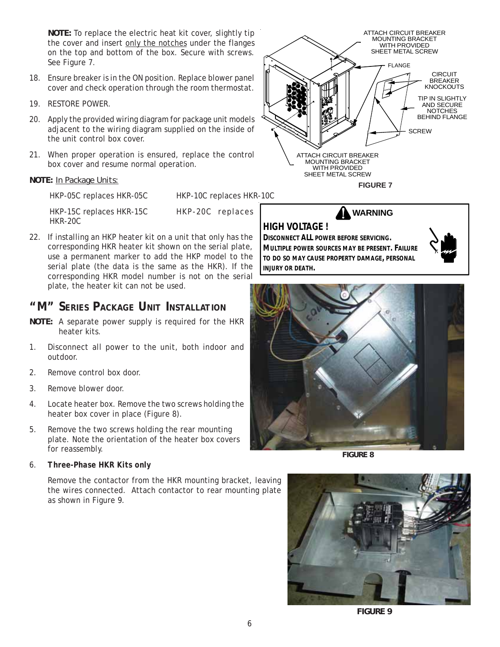**NOTE:** To replace the electric heat kit cover, slightly tip the cover and insert only the notches under the flanges on the top and bottom of the box. Secure with screws. See Figure 7.

- 18. Ensure breaker is in the ON position. Replace blower panel cover and check operation through the room thermostat.
- 19. RESTORE POWER.
- 20. Apply the provided wiring diagram for package unit models adjacent to the wiring diagram supplied on the inside of the unit control box cover.
- 21. When proper operation is ensured, replace the control box cover and resume normal operation.

### **NOTE:** *In Package Units:*

HKP-05C replaces HKR-05C HKP-10C replaces HKR-10C

HKP-15C replaces HKR-15C HKP-20C replaces HKR-20C

22. If installing an HKP heater kit on a unit that only has the corresponding HKR heater kit shown on the serial plate, use a permanent marker to add the HKP model to the serial plate (the data is the same as the HKR). If the corresponding HKR model number is not on the serial plate, the heater kit can not be used.

# *"M" SERIES PACKAGE UNIT INSTALLATION*

- **NOTE:** A separate power supply is required for the HKR heater kits.
- 1. Disconnect all power to the unit, both indoor and outdoor.
- 2. Remove control box door.
- 3. Remove blower door.
- 4. Locate heater box. Remove the two screws holding the heater box cover in place (Figure 8).
- 5. Remove the two screws holding the rear mounting plate. Note the orientation of the heater box covers for reassembly.

#### 6. *Three-Phase HKR Kits only*

Remove the contactor from the HKR mounting bracket, leaving the wires connected. Attach contactor to rear mounting plate as shown in Figure 9.



**WARNING**



**DISCONNECT ALL POWER BEFORE SERVICING. MULTIPLE POWER SOURCES MAY BE PRESENT. FAILURE TO DO SO MAY CAUSE PROPERTY DAMAGE, PERSONAL**

**INJURY OR DEATH.**





**FIGURE 8**



**FIGURE 9**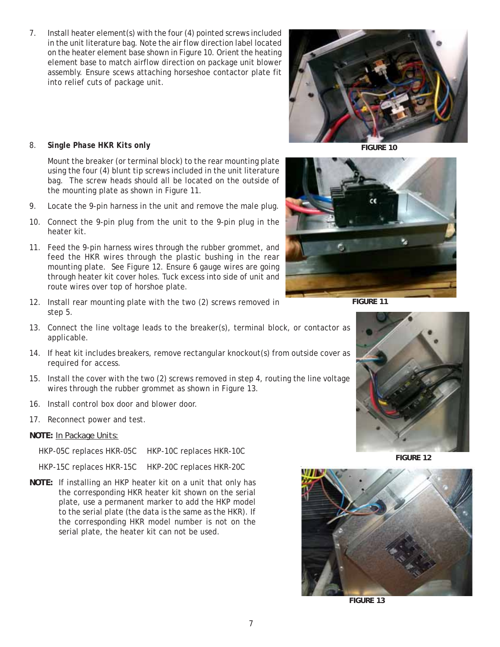7. Install heater element(s) with the four (4) pointed screws included in the unit literature bag. Note the air flow direction label located on the heater element base shown in Figure 10. Orient the heating element base to match airflow direction on package unit blower assembly. Ensure scews attaching horseshoe contactor plate fit into relief cuts of package unit.



**FIGURE 10**

#### 8. *Single Phase HKR Kits only*

Mount the breaker (or terminal block) to the rear mounting plate using the four (4) blunt tip screws included in the unit literature bag. The screw heads should all be located on the outside of the mounting plate as shown in Figure 11.

- 9. Locate the 9-pin harness in the unit and remove the male plug.
- 10. Connect the 9-pin plug from the unit to the 9-pin plug in the heater kit.
- 11. Feed the 9-pin harness wires through the rubber grommet, and feed the HKR wires through the plastic bushing in the rear mounting plate. See Figure 12. Ensure 6 gauge wires are going through heater kit cover holes. Tuck excess into side of unit and route wires over top of horshoe plate.
- 12. Install rear mounting plate with the two (2) screws removed in step 5.
- 13. Connect the line voltage leads to the breaker(s), terminal block, or contactor as applicable.
- 14. If heat kit includes breakers, remove rectangular knockout(s) from outside cover as required for access.
- 15. Install the cover with the two (2) screws removed in step 4, routing the line voltage wires through the rubber grommet as shown in Figure 13.
- 16. Install control box door and blower door.
- 17. Reconnect power and test.
- **NOTE:** *In Package Units:*

HKP-05C replaces HKR-05C HKP-10C replaces HKR-10C

HKP-15C replaces HKR-15C HKP-20C replaces HKR-20C

**NOTE:** If installing an HKP heater kit on a unit that only has the corresponding HKR heater kit shown on the serial plate, use a permanent marker to add the HKP model to the serial plate (the data is the same as the HKR). If the corresponding HKR model number is not on the serial plate, the heater kit can not be used.

**FIGURE 11**



**FIGURE 12**



**FIGURE 13**